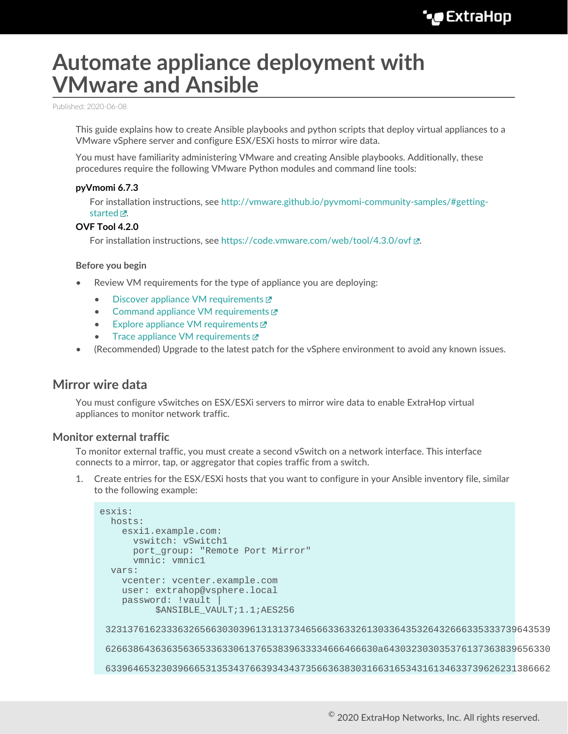# **Automate appliance deployment with VMware and Ansible**

Published: 2020-06-08

This guide explains how to create Ansible playbooks and python scripts that deploy virtual appliances to a VMware vSphere server and configure ESX/ESXi hosts to mirror wire data.

You must have familiarity administering VMware and creating Ansible playbooks. Additionally, these procedures require the following VMware Python modules and command line tools:

#### **pyVmomi 6.7.3**

For installation instructions, see [http://vmware.github.io/pyvmomi-community-samples/#getting](http://vmware.github.io/pyvmomi-community-samples/#getting-started)[started](http://vmware.github.io/pyvmomi-community-samples/#getting-started)  $\mathbb{Z}$ .

#### **OVF Tool 4.2.0**

For installation instructions, see <https://code.vmware.com/web/tool/4.3.0/ovf>...

#### **Before you begin**

- Review VM requirements for the type of appliance you are deploying:
	- [Discover appliance VM requirements](https://docs.extrahop.com/8.0/dep-eda-vmw/#virtual-machine-requirements)  $\blacksquare$
	- [Command appliance VM requirements](https://docs.extrahop.com/8.0/deploy-eca-vmw/#virtual-machine-requirements)  $\square$
	- [Explore appliance VM requirements](https://docs.extrahop.com/8.0/deploy-exa-vmware/#system-requirements)  $\mathbb{Z}$
	- [Trace appliance VM requirements](https://docs.extrahop.com/8.0/deploy-eta-vmware/#virtual-machine-requirements)  $\mathbb Z$
- (Recommended) Upgrade to the latest patch for the vSphere environment to avoid any known issues.

### **Mirror wire data**

You must configure vSwitches on ESX/ESXi servers to mirror wire data to enable ExtraHop virtual appliances to monitor network traffic.

#### **Monitor external traffic**

To monitor external traffic, you must create a second vSwitch on a network interface. This interface connects to a mirror, tap, or aggregator that copies traffic from a switch.

1. Create entries for the ESX/ESXi hosts that you want to configure in your Ansible inventory file, similar to the following example:

```
esxis:
  hosts:
    esxi1.example.com:
      vswitch: vSwitch1
      port_group: "Remote Port Mirror"
      vmnic: vmnic1
   vars:
     vcenter: vcenter.example.com
    user: extrahop@vsphere.local
     password: !vault |
           $ANSIBLE_VAULT;1.1;AES256
  32313761623336326566303039613131373465663363326130336435326432666335333739643539
  6266386436363563653363306137653839633334666466630a643032303035376137363839656330
  63396465323039666531353437663934343735663638303166316534316134633739626231386662
```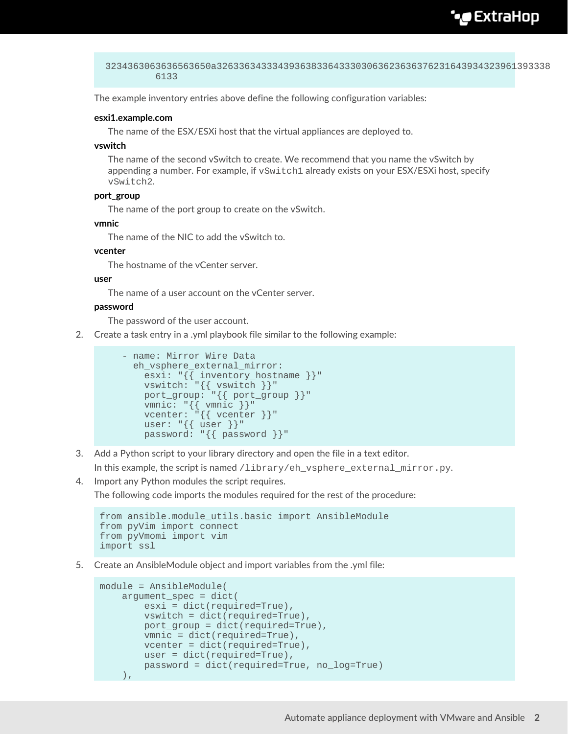## **∙e** ExtraHop

```
 3234363063636563650a326336343334393638336433303063623636376231643934323961393338
          6133
```
The example inventory entries above define the following configuration variables:

#### **esxi1.example.com**

The name of the ESX/ESXi host that the virtual appliances are deployed to.

#### **vswitch**

The name of the second vSwitch to create. We recommend that you name the vSwitch by appending a number. For example, if  $vSwitch1$  already exists on your ESX/ESXi host, specify vSwitch2.

#### **port\_group**

The name of the port group to create on the vSwitch.

#### **vmnic**

The name of the NIC to add the vSwitch to.

#### **vcenter**

The hostname of the vCenter server.

#### **user**

The name of a user account on the vCenter server.

#### **password**

The password of the user account.

2. Create a task entry in a .yml playbook file similar to the following example:

```
 - name: Mirror Wire Data
      eh_vsphere_external_mirror:
       esxi: "{{ inventory_hostname }}"
vswitch: "{{ vswitch }}"
 port_group: "{{ port_group }}"
 vmnic: "{{ vmnic }}"
vcenter: "\{ vcenter \}"
       user: \{\{\text{user}\}\"
        password: "{{ password }}"
```
3. Add a Python script to your library directory and open the file in a text editor.

In this example, the script is named /library/eh\_vsphere\_external\_mirror.py.

4. Import any Python modules the script requires.

The following code imports the modules required for the rest of the procedure:

```
from ansible.module utils.basic import AnsibleModule
from pyVim import connect
from pyVmomi import vim
import ssl
```
5. Create an AnsibleModule object and import variables from the .yml file:

```
module = AnsibleModule(
     argument_spec = dict(
         esxi = dict(required=True),
         vswitch = dict(required=True),
         port_group = dict(required=True),
         vmnic = dict(required=True),
         vcenter = dict(required=True),
         user = dict(required=True),
         password = dict(required=True, no_log=True)
     ),
```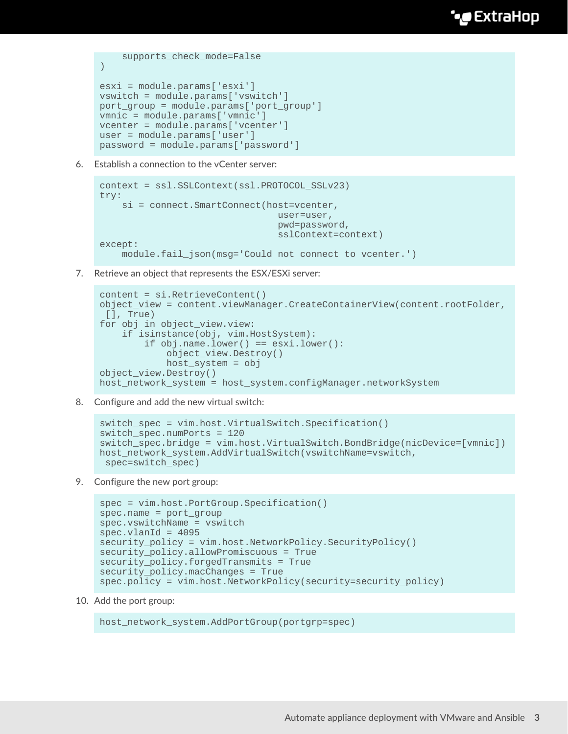```
 supports_check_mode=False
)
esxi = module.params['esxi']
vswitch = module.params['vswitch']
port_group = module.params['port_group']
vmnic = module.params['vmnic']
vcenter = module.params['vcenter']
user = module.params['user']
password = module.params['password']
```
6. Establish a connection to the vCenter server:

```
context = ssl.SSLContext(ssl.PROTOCOL_SSLv23)
try:
    si = connect.SmartConnect(host=vcenter,
                                  user=user,
                                  pwd=password,
                                  sslContext=context)
except:
     module.fail_json(msg='Could not connect to vcenter.')
```
7. Retrieve an object that represents the ESX/ESXi server:

```
content = si.RetrieveContent()
object_view = content.viewManager.CreateContainerView(content.rootFolder,
 [], True)
for obj in object_view.view:
     if isinstance(obj, vim.HostSystem):
         if obj.name.lower() == esxi.lower():
             object_view.Destroy()
            host system = objobject_view.Destroy()
host_network_system = host_system.configManager.networkSystem
```
8. Configure and add the new virtual switch:

```
switch_spec = vim.host.VirtualSwitch.Specification()
switch_spec.numPorts = 120
switch_spec.bridge = vim.host.VirtualSwitch.BondBridge(nicDevice=[vmnic])
host_network_system.AddVirtualSwitch(vswitchName=vswitch,
  spec=switch_spec)
```
9. Configure the new port group:

```
spec = vim.host.PortGroup.Specification()
spec.name = port_group
spec.vswitchName = vswitch
spec.vland = 4095security_policy = vim.host.NetworkPolicy.SecurityPolicy()
security policy.allowPromiscuous = True
security_policy.forgedTransmits = True
security policy.macChanges = True
spec.policy = vim.host.NetworkPolicy(security=security_policy)
```
10. Add the port group:

```
host_network_system.AddPortGroup(portgrp=spec)
```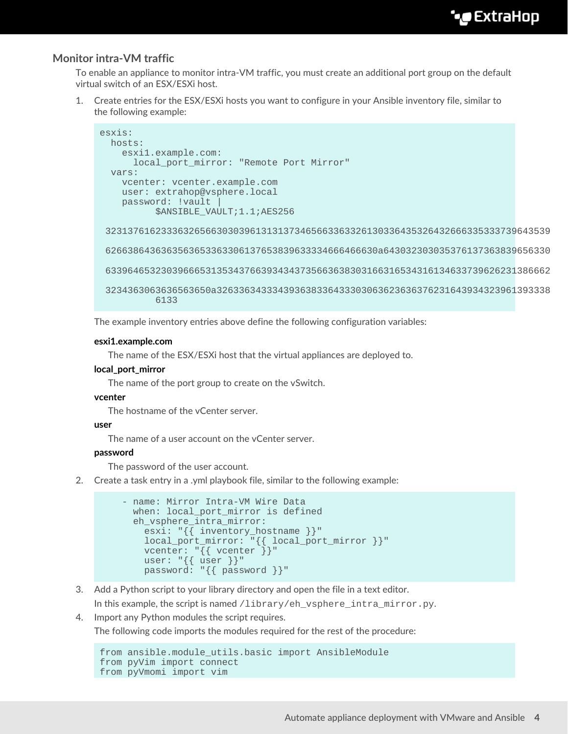### **Monitor intra-VM traffic**

To enable an appliance to monitor intra-VM traffic, you must create an additional port group on the default virtual switch of an ESX/ESXi host.

1. Create entries for the ESX/ESXi hosts you want to configure in your Ansible inventory file, similar to the following example:

```
esxis:
  hosts:
    esxi1.example.com:
     local_port_mirror: "Remote Port Mirror"
  vars:
    vcenter: vcenter.example.com
    user: extrahop@vsphere.local
    password: !vault |
           $ANSIBLE_VAULT;1.1;AES256
  32313761623336326566303039613131373465663363326130336435326432666335333739643539
  6266386436363563653363306137653839633334666466630a643032303035376137363839656330
  63396465323039666531353437663934343735663638303166316534316134633739626231386662
  3234363063636563650a326336343334393638336433303063623636376231643934323961393338
           6133
```
The example inventory entries above define the following configuration variables:

#### **esxi1.example.com**

The name of the ESX/ESXi host that the virtual appliances are deployed to.

#### **local\_port\_mirror**

The name of the port group to create on the vSwitch.

#### **vcenter**

The hostname of the vCenter server.

#### **user**

The name of a user account on the vCenter server.

#### **password**

The password of the user account.

2. Create a task entry in a .yml playbook file, similar to the following example:

```
 - name: Mirror Intra-VM Wire Data
 when: local port mirror is defined
 eh vsphere intra mirror:
     esxi: "{{ inventory_hostname }}"
    local_port_mirror: "{{ local_port_mirror }}"
   vcenter: \{ \} vcenter \}"
   user: \sqrt[1]{\{ \text{user } \}} password: "{{ password }}"
```
3. Add a Python script to your library directory and open the file in a text editor.

In this example, the script is named  $\ell$ library/eh\_vsphere\_intra\_mirror.py.

4. Import any Python modules the script requires.

The following code imports the modules required for the rest of the procedure:

```
from ansible.module_utils.basic import AnsibleModule
from pyVim import connect
from pyVmomi import vim
```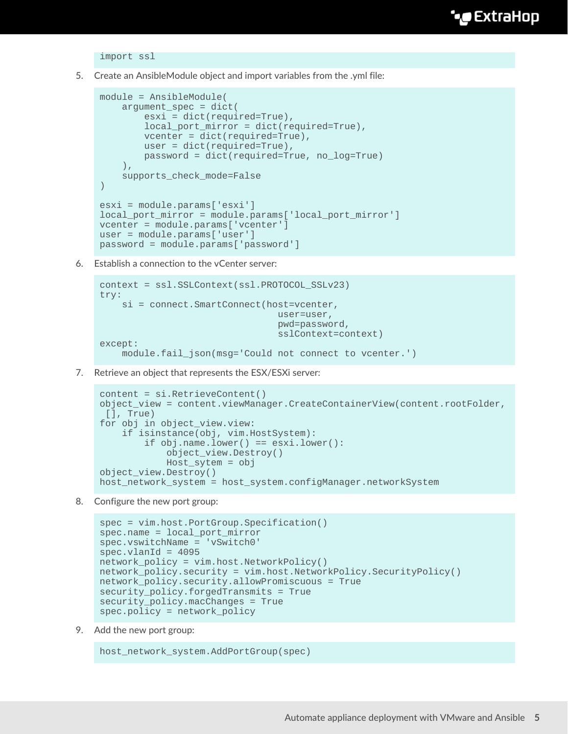import ssl

5. Create an AnsibleModule object and import variables from the .yml file:

```
module = AnsibleModule(
    argument_spec = dict(
         esxi = dict(required=True),
         local_port_mirror = dict(required=True),
         vcenter = dict(required=True),
         user = dict(required=True),
         password = dict(required=True, no_log=True)
    ),
    supports check mode=False
)esxi = module.params['esxi']
local_port_mirror = module.params['local_port_mirror']
vcenter = module.params['vcenter']
user = module.params['user']
password = module.params['password']
```
6. Establish a connection to the vCenter server:

```
context = ssl.SSLContext(ssl.PROTOCOL_SSLv23)
try:
    si = connect.SmartConnect(host=vcenter,
                                  user=user,
                                  pwd=password,
                                  sslContext=context)
except:
     module.fail_json(msg='Could not connect to vcenter.')
```
7. Retrieve an object that represents the ESX/ESXi server:

```
content = si.RetrieveContent()
object_view = content.viewManager.CreateContainerView(content.rootFolder,
 [], True)
for obj in object_view.view:
     if isinstance(obj, vim.HostSystem):
         if obj.name.lower() == esxi.lower():
             object_view.Destroy()
             Host_sytem = obj
object_view.Destroy()
host_network_system = host_system.configManager.networkSystem
```
8. Configure the new port group:

```
spec = vim.host.PortGroup.Specification()
spec.name = local_port_mirror
spec.vswitchName = 'vSwitch0'
spec.vland = 4095network policy = vim.host.NetworkPolicy()
network policy.security = vim.host.NetworkPolicy.SecurityPolicy()
network_policy.security.allowPromiscuous = True
security_policy.forgedTransmits = True
security_policy.macChanges = True
spec.policy = network_policy
```
9. Add the new port group:

host\_network\_system.AddPortGroup(spec)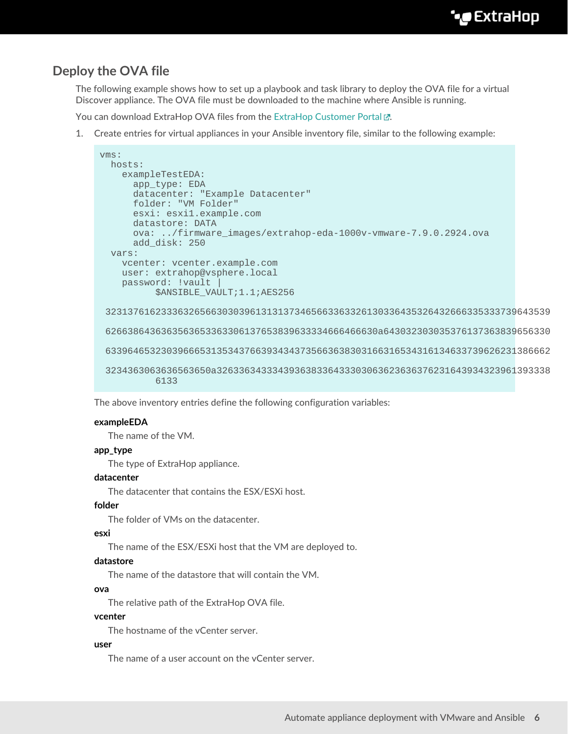## **Deploy the OVA file**

The following example shows how to set up a playbook and task library to deploy the OVA file for a virtual Discover appliance. The OVA file must be downloaded to the machine where Ansible is running.

You can download ExtraHop OVA files from the [ExtraHop Customer Portal](https://customers.extrahop.com/downloads/virtual-appliances) ...

1. Create entries for virtual appliances in your Ansible inventory file, similar to the following example:

```
vms:
  hosts:
    exampleTestEDA:
      app_type: EDA
      datacenter: "Example Datacenter"
      folder: "VM Folder"
       esxi: esxi1.example.com
      datastore: DATA
       ova: ../firmware_images/extrahop-eda-1000v-vmware-7.9.0.2924.ova
      add_disk: 250
   vars:
     vcenter: vcenter.example.com
     user: extrahop@vsphere.local
     password: !vault |
           $ANSIBLE_VAULT;1.1;AES256
  32313761623336326566303039613131373465663363326130336435326432666335333739643539
  6266386436363563653363306137653839633334666466630a643032303035376137363839656330
  63396465323039666531353437663934343735663638303166316534316134633739626231386662
  3234363063636563650a326336343334393638336433303063623636376231643934323961393338
           6133
```
The above inventory entries define the following configuration variables:

#### **exampleEDA**

The name of the VM.

#### **app\_type**

The type of ExtraHop appliance.

#### **datacenter**

The datacenter that contains the ESX/ESXi host.

#### **folder**

The folder of VMs on the datacenter.

#### **esxi**

The name of the ESX/ESXi host that the VM are deployed to.

#### **datastore**

The name of the datastore that will contain the VM.

#### **ova**

The relative path of the ExtraHop OVA file.

#### **vcenter**

The hostname of the vCenter server.

#### **user**

The name of a user account on the vCenter server.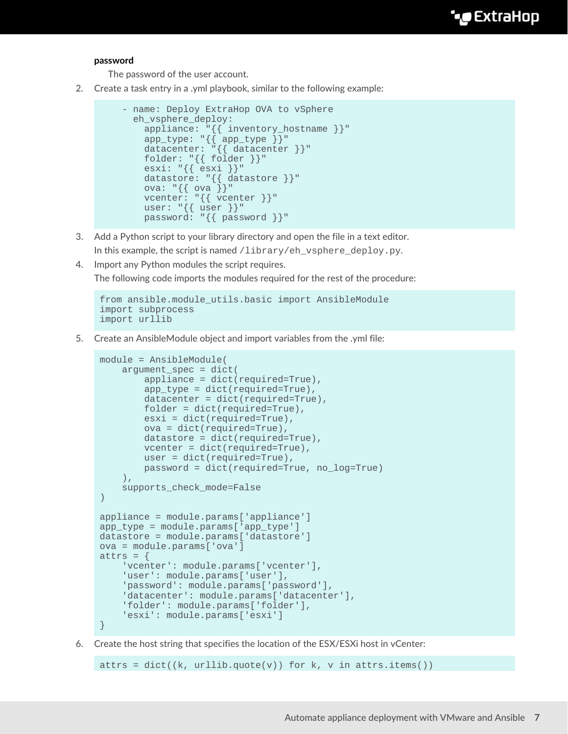#### **password**

The password of the user account.

2. Create a task entry in a .yml playbook, similar to the following example:

```
 - name: Deploy ExtraHop OVA to vSphere
       eh_vsphere_deploy:
 appliance: "{{ inventory_hostname }}"
 app_type: "{{ app_type }}"
         datacenter: "{{ datacenter }}"
         folder: "{{ folder }}"
        \text{ess} i: "{} { \{ \text{ess} i \} }
         datastore: "{{ datastore }}"
        ova: \{\} ova \}"
         vcenter: "{{ vcenter }}"
        user: \sqrt[n]{\{ \text{user } \}}"
         password: "{{ password }}"
```
3. Add a Python script to your library directory and open the file in a text editor.

In this example, the script is named  $\lambda$ library/eh\_vsphere\_deploy.py.

4. Import any Python modules the script requires.

The following code imports the modules required for the rest of the procedure:

```
from ansible.module_utils.basic import AnsibleModule
import subprocess
import urllib
```
5. Create an AnsibleModule object and import variables from the .yml file:

```
module = AnsibleModule(
    argument spec = dict( appliance = dict(required=True),
         app_type = dict(required=True),
        datacenter = dict(required=True),
        folder = dict(required=True),
        esxi = dict(required=True),
        ova = dict(required=True),
        datastore = dict(required=True),
        vcenter = dict(required=True),
        user = dict(required=True),
        password = dict(required=True, no_log=True)
    ),
     supports_check_mode=False
)
appliance = module.params['appliance']
app_type = module.params['app_type']
datastore = module.params['datastore']
ova = module.params['ova']
attrs = \{ 'vcenter': module.params['vcenter'],
     'user': module.params['user'],
     'password': module.params['password'],
     'datacenter': module.params['datacenter'],
     'folder': module.params['folder'],
     'esxi': module.params['esxi']
}
```
6. Create the host string that specifies the location of the ESX/ESXi host in vCenter:

attrs = dict((k, urllib.quote(v)) for k, v in attrs.items())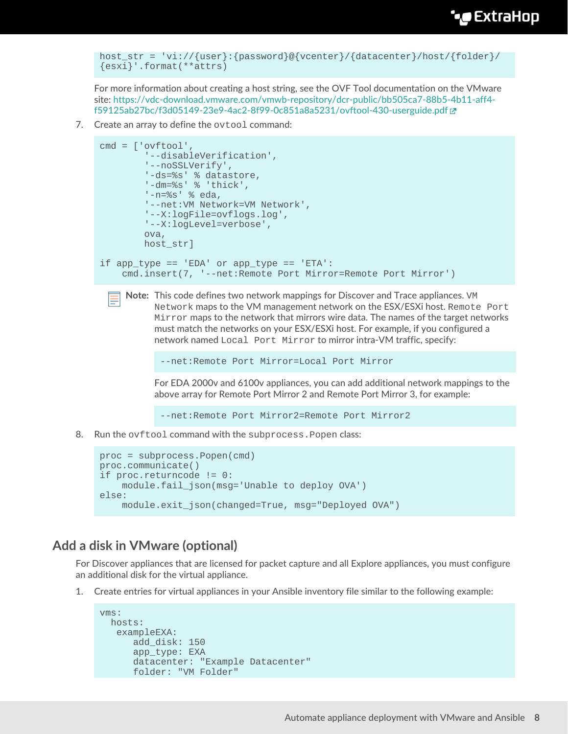```
host str = 'vi://{user}:{password}@{vcenter}/{datacenter}/host/{folder}/
{esxi}'.format(**attrs)
```
For more information about creating a host string, see the OVF Tool documentation on the VMware site: [https://vdc-download.vmware.com/vmwb-repository/dcr-public/bb505ca7-88b5-4b11-aff4](https://vdc-download.vmware.com/vmwb-repository/dcr-public/bb505ca7-88b5-4b11-aff4-f59125ab27bc/f3d05149-23e9-4ac2-8f99-0c851a8a5231/ovftool-430-userguide.pdf) [f59125ab27bc/f3d05149-23e9-4ac2-8f99-0c851a8a5231/ovftool-430-userguide.pdf](https://vdc-download.vmware.com/vmwb-repository/dcr-public/bb505ca7-88b5-4b11-aff4-f59125ab27bc/f3d05149-23e9-4ac2-8f99-0c851a8a5231/ovftool-430-userguide.pdf) 

7. Create an array to define the ovtool command:

```
cmd = ['ovftool',
         '--disableVerification',
         '--noSSLVerify',
         '-ds=%s' % datastore,
         '-dm=%s' % 'thick',
         '-n=%s' % eda,
         '--net:VM Network=VM Network',
         '--X:logFile=ovflogs.log',
         '--X:logLevel=verbose',
         ova,
        host str]
if app_type == 'EDA' or app_type == 'ETA':
     cmd.insert(7, '--net:Remote Port Mirror=Remote Port Mirror')
```
**Note:** This code defines two network mappings for Discover and Trace appliances. VM Network maps to the VM management network on the ESX/ESXi host. Remote Port Mirror maps to the network that mirrors wire data. The names of the target networks must match the networks on your ESX/ESXi host. For example, if you configured a network named Local Port Mirror to mirror intra-VM traffic, specify:

```
--net:Remote Port Mirror=Local Port Mirror
```
For EDA 2000v and 6100v appliances, you can add additional network mappings to the above array for Remote Port Mirror 2 and Remote Port Mirror 3, for example:

```
--net:Remote Port Mirror2=Remote Port Mirror2
```
8. Run the ovftool command with the subprocess.Popen class:

```
proc = subprocess.Popen(cmd)
proc.communicate()
if proc.returncode != 0:
     module.fail_json(msg='Unable to deploy OVA')
else:
     module.exit_json(changed=True, msg="Deployed OVA")
```
## **Add a disk in VMware (optional)**

For Discover appliances that are licensed for packet capture and all Explore appliances, you must configure an additional disk for the virtual appliance.

1. Create entries for virtual appliances in your Ansible inventory file similar to the following example:

```
vms:
  hosts:
    exampleEXA:
      add_disk: 150
       app_type: EXA
       datacenter: "Example Datacenter"
       folder: "VM Folder"
```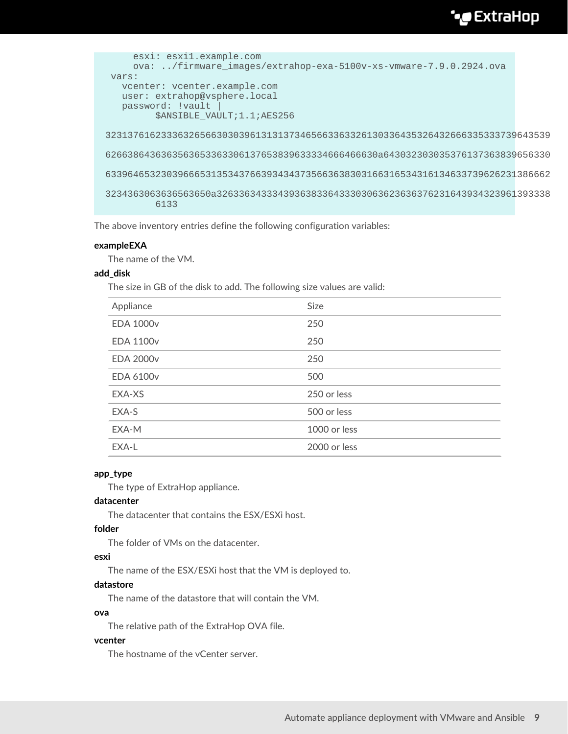## ExtraHop **@**

```
 esxi: esxi1.example.com
     ova: ../firmware_images/extrahop-exa-5100v-xs-vmware-7.9.0.2924.ova
 vars:
   vcenter: vcenter.example.com
   user: extrahop@vsphere.local
  password: !vault
          $ANSIBLE_VAULT;1.1;AES256
 32313761623336326566303039613131373465663363326130336435326432666335333739643539
 6266386436363563653363306137653839633334666466630a643032303035376137363839656330
 63396465323039666531353437663934343735663638303166316534316134633739626231386662
 3234363063636563650a326336343334393638336433303063623636376231643934323961393338
         6133
```
The above inventory entries define the following configuration variables:

#### **exampleEXA**

The name of the VM.

#### **add\_disk**

The size in GB of the disk to add. The following size values are valid:

| Appliance        | Size         |
|------------------|--------------|
| <b>EDA 1000v</b> | 250          |
| <b>EDA 1100v</b> | 250          |
| <b>EDA 2000v</b> | 250          |
| <b>EDA 6100v</b> | 500          |
| EXA-XS           | 250 or less  |
| EXA-S            | 500 or less  |
| EXA-M            | 1000 or less |
| EXA-L            | 2000 or less |

#### **app\_type**

The type of ExtraHop appliance.

#### **datacenter**

The datacenter that contains the ESX/ESXi host.

#### **folder**

The folder of VMs on the datacenter.

#### **esxi**

The name of the ESX/ESXi host that the VM is deployed to.

#### **datastore**

The name of the datastore that will contain the VM.

#### **ova**

The relative path of the ExtraHop OVA file.

#### **vcenter**

The hostname of the vCenter server.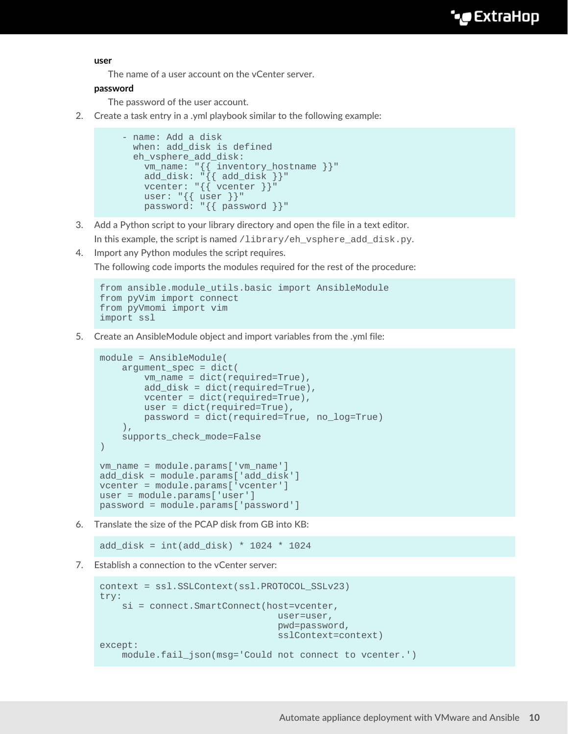**user**

The name of a user account on the vCenter server.

#### **password**

The password of the user account.

2. Create a task entry in a .yml playbook similar to the following example:

```
 - name: Add a disk
  when: add_disk is defined
  eh_vsphere_add_disk:
    vm_name: "{{ inventory_hostname }}"
    add_disk: "{{ add_disk }}"
   vcenter: "{{ vcenter }}"
    user: "{{ user }}"
    password: "{{ password }}"
```
- 3. Add a Python script to your library directory and open the file in a text editor.
	- In this example, the script is named /library/eh\_vsphere\_add\_disk.py.
- 4. Import any Python modules the script requires.

The following code imports the modules required for the rest of the procedure:

```
from ansible.module_utils.basic import AnsibleModule
from pyVim import connect
from pyVmomi import vim
import ssl
```
5. Create an AnsibleModule object and import variables from the .yml file:

```
module = AnsibleModule(
     argument_spec = dict(
        vm_name = dict(required=True),
         add_disk = dict(required=True),
        vcenter = dict(required=True),
        user = dict(required=True),
        password = dict(required=True, no_log=True)
     ),
     supports_check_mode=False
)vm_name = module.params['vm_name']
add_disk = module.params['add_disk']
vcenter = module.params['vcenter']
user = module.params['user']
password = module.params['password']
```
6. Translate the size of the PCAP disk from GB into KB:

add\_disk = int(add\_disk) \* 1024 \* 1024

7. Establish a connection to the vCenter server:

```
context = ssl.SSLContext(ssl.PROTOCOL_SSLv23)
try:
    si = connect.SmartConnect(host=vcenter,
                                  user=user,
                                  pwd=password,
                                  sslContext=context)
except:
    module.fail_json(msg='Could not connect to vcenter.')
```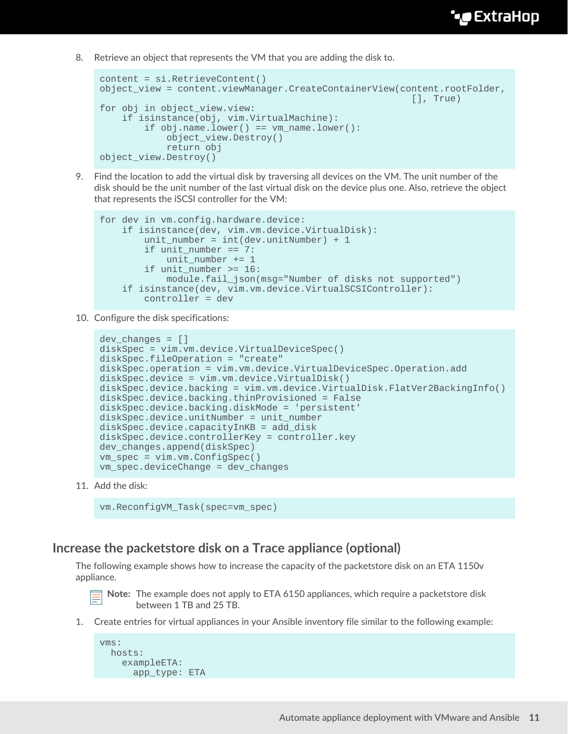8. Retrieve an object that represents the VM that you are adding the disk to.

```
content = si.RetrieveContent()
object_view = content.viewManager.CreateContainerView(content.rootFolder,
                                                          [], True)
for obj in object_view.view:
     if isinstance(obj, vim.VirtualMachine):
        if obj.name.lower() == VM_name.lower():
             object_view.Destroy()
             return obj
object_view.Destroy()
```
9. Find the location to add the virtual disk by traversing all devices on the VM. The unit number of the disk should be the unit number of the last virtual disk on the device plus one. Also, retrieve the object that represents the iSCSI controller for the VM:

```
for dev in vm.config.hardware.device:
     if isinstance(dev, vim.vm.device.VirtualDisk):
        unit_number = int(dev.unitNumber) + 1if unit number == 7: unit_number += 1
         if unit_number >= 16:
             module.fail_json(msg="Number of disks not supported")
     if isinstance(dev, vim.vm.device.VirtualSCSIController):
         controller = dev
```
10. Configure the disk specifications:

```
dev changes = []diskSpec = vim.vm.device.VirtualDeviceSpec()
diskSpec.fileOperation = "create"
diskSpec.operation = vim.vm.device.VirtualDeviceSpec.Operation.add
diskSpec.device = vim.vm.device.VirtualDisk()
diskSpec.device.backing = vim.vm.device.VirtualDisk.FlatVer2BackingInfo()
diskSpec.device.backing.thinProvisioned = False
diskSpec.device.backing.diskMode = 'persistent'
diskSpec.device.unitNumber = unit_number
diskSpec.device.capacityInKB = add_disk
diskSpec.device.controllerKey = controller.key
dev_changes.append(diskSpec)
vm_spec = vim.vm.ConfigSpec()
vm_spec.deviceChange = dev_changes
```
11. Add the disk:

```
vm.ReconfigVM_Task(spec=vm_spec)
```
### **Increase the packetstore disk on a Trace appliance (optional)**

The following example shows how to increase the capacity of the packetstore disk on an ETA 1150v appliance.

- **Note:** The example does not apply to ETA 6150 appliances, which require a packetstore disk between 1 TB and 25 TB.
- 1. Create entries for virtual appliances in your Ansible inventory file similar to the following example:

```
vms:
   hosts:
     exampleETA:
      app_type: ETA
```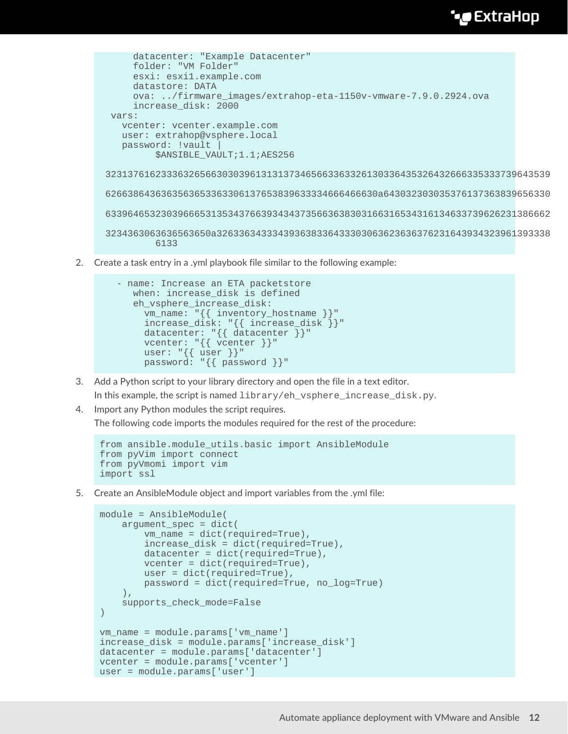## **∙e** ExtraHop

```
 datacenter: "Example Datacenter"
     folder: "VM Folder"
     esxi: esxi1.example.com
     datastore: DATA
     ova: ../firmware_images/extrahop-eta-1150v-vmware-7.9.0.2924.ova
     increase_disk: 2000
 vars:
   vcenter: vcenter.example.com
   user: extrahop@vsphere.local
   password: !vault |
          $ANSIBLE_VAULT;1.1;AES256
 32313761623336326566303039613131373465663363326130336435326432666335333739643539
 6266386436363563653363306137653839633334666466630a643032303035376137363839656330
 63396465323039666531353437663934343735663638303166316534316134633739626231386662
 3234363063636563650a326336343334393638336433303063623636376231643934323961393338
         6133
```
2. Create a task entry in a .yml playbook file similar to the following example:

```
 - name: Increase an ETA packetstore
      when: increase_disk is defined
      eh_vsphere_increase_disk:
        vm_name: "{{ inventory_hostname }}"
        increase_disk: "{{ increase_disk }}"
 datacenter: "{{ datacenter }}"
vcenter: "{{ vcenter }}"
 user: "{{ user }}"
        password: "{{ password }}"
```
- 3. Add a Python script to your library directory and open the file in a text editor. In this example, the script is named library/eh\_vsphere\_increase\_disk.py.
- 4. Import any Python modules the script requires.

The following code imports the modules required for the rest of the procedure:

```
from ansible.module_utils.basic import AnsibleModule
from pyVim import connect
from pyVmomi import vim
import ssl
```
5. Create an AnsibleModule object and import variables from the .yml file:

```
module = AnsibleModule(
     argument_spec = dict(
         vm_name = dict(required=True),
         increase_disk = dict(required=True),
         datacenter = dict(required=True),
        vcenter = dict(required=True),
        user = dict(required=True),
         password = dict(required=True, no_log=True)
     ),
     supports_check_mode=False
)
vm_name = module.params['vm_name']
increase_disk = module.params['increase_disk']
datacenter = module.params['datacenter']
vcenter = module.params['vcenter']
user = module.params['user']
```